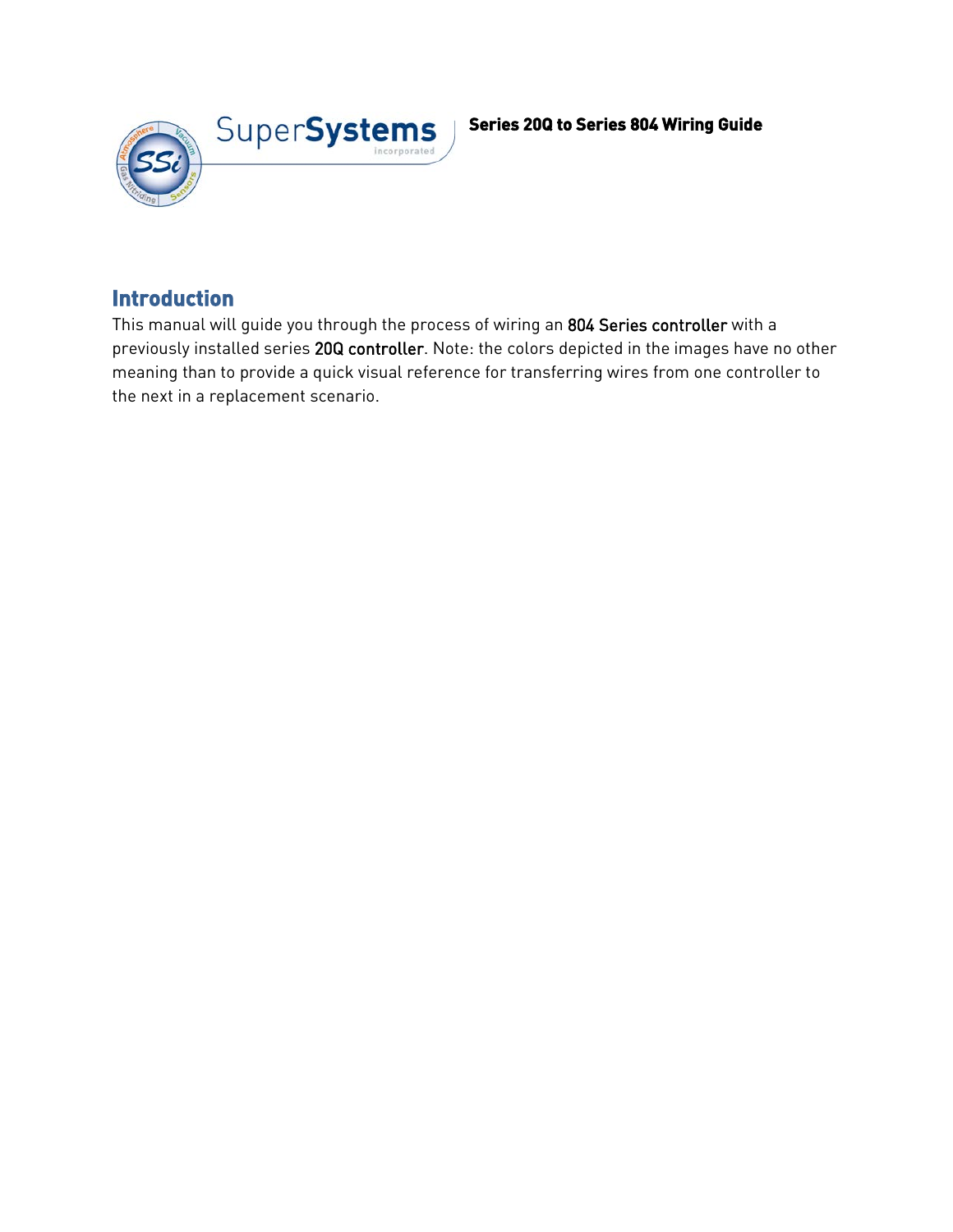

## **Introduction**

This manual will guide you through the process of wiring an 804 Series controller with a previously installed series 20Q controller. Note: the colors depicted in the images have no other meaning than to provide a quick visual reference for transferring wires from one controller to the next in a replacement scenario.

## **Series 20Q to Series 804 Wiring Guide**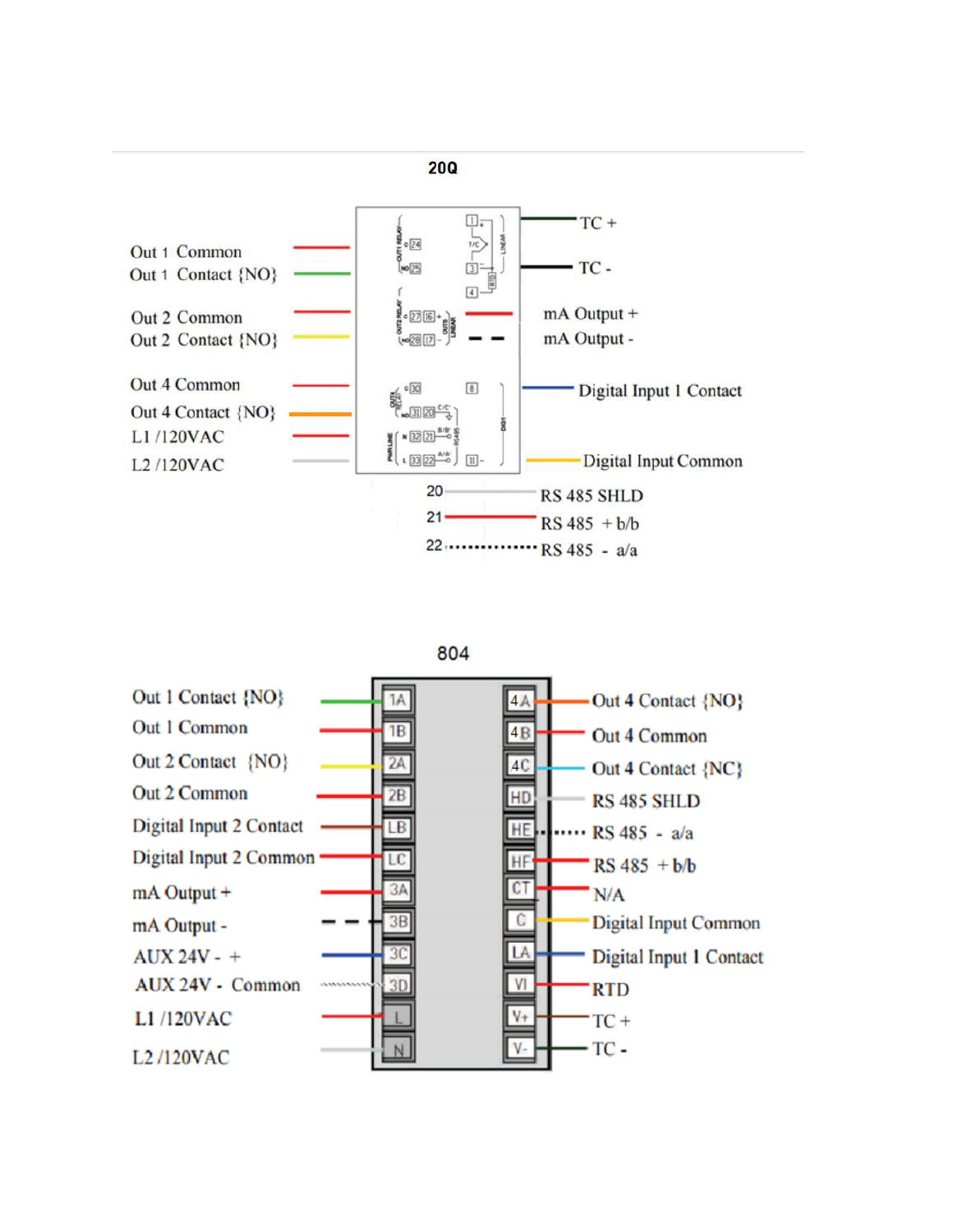





**20Q**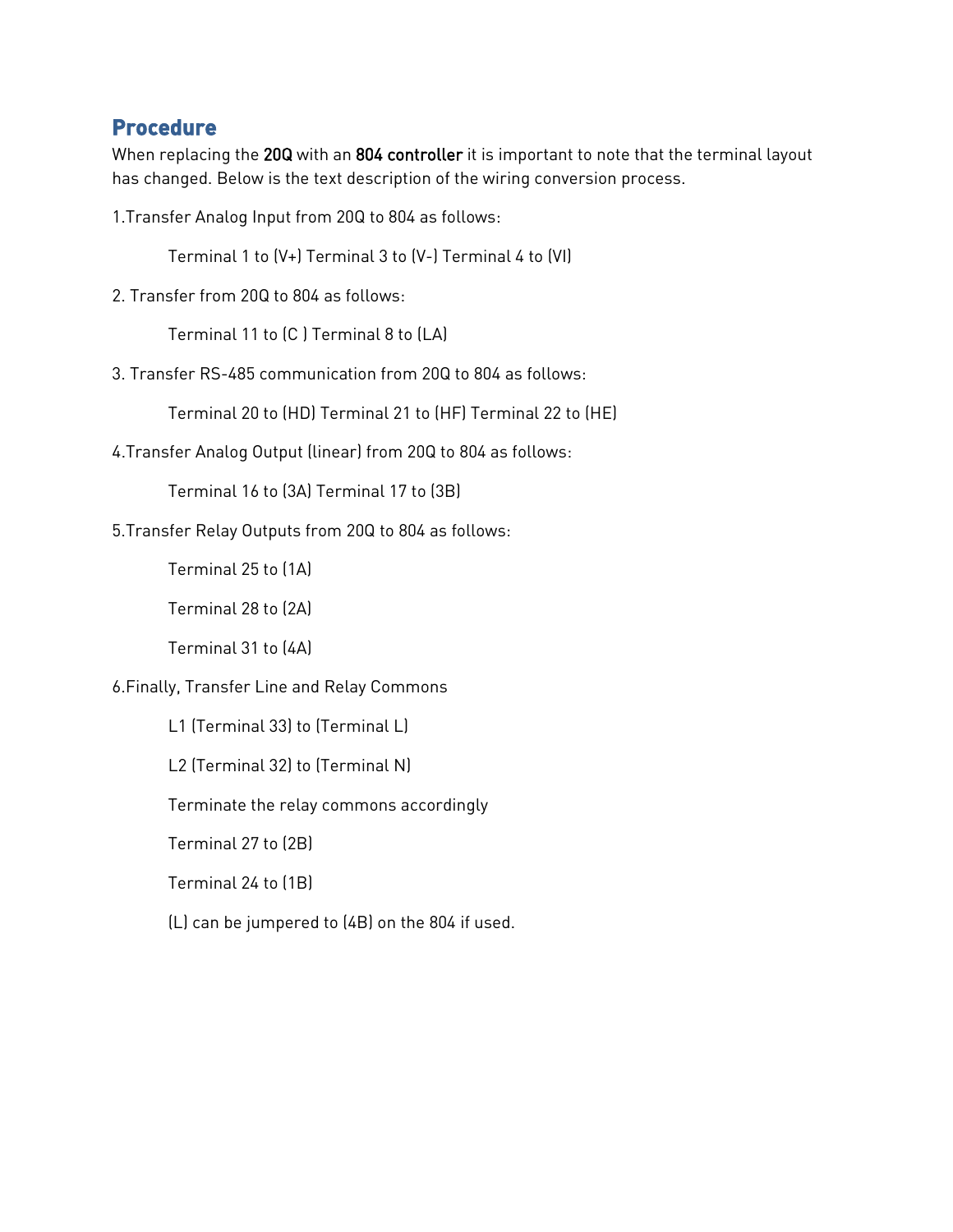## **Procedure**

When replacing the 20Q with an 804 controller it is important to note that the terminal layout has changed. Below is the text description of the wiring conversion process.

1.Transfer Analog Input from 20Q to 804 as follows:

Terminal 1 to (V+) Terminal 3 to (V-) Terminal 4 to (VI)

2. Transfer from 20Q to 804 as follows:

Terminal 11 to (C ) Terminal 8 to (LA)

3. Transfer RS-485 communication from 20Q to 804 as follows:

Terminal 20 to (HD) Terminal 21 to (HF) Terminal 22 to (HE)

4.Transfer Analog Output (linear) from 20Q to 804 as follows:

Terminal 16 to (3A) Terminal 17 to (3B)

5.Transfer Relay Outputs from 20Q to 804 as follows:

Terminal 25 to (1A)

Terminal 28 to (2A)

Terminal 31 to (4A)

6.Finally, Transfer Line and Relay Commons

L1 (Terminal 33) to (Terminal L)

L2 (Terminal 32) to (Terminal N)

Terminate the relay commons accordingly

Terminal 27 to (2B)

Terminal 24 to (1B)

(L) can be jumpered to (4B) on the 804 if used.